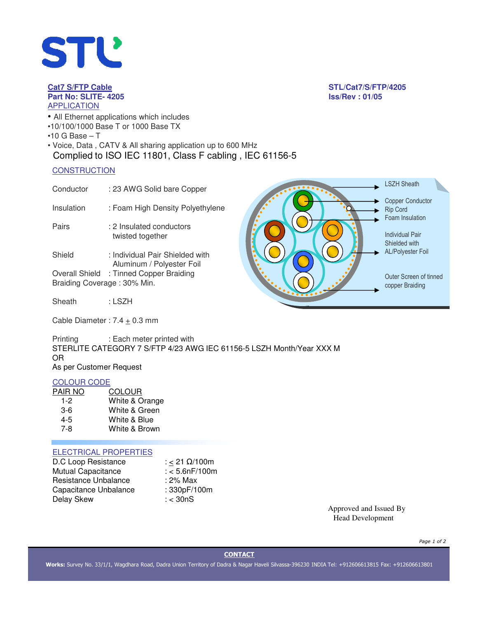

# **Part No: SLITE- 4205 Iss/Rev : 01/05** APPLICATION

- All Ethernet applications which includes
- •10/100/1000 Base T or 1000 Base TX
- $\cdot$ 10 G Base T
- Voice, Data , CATV & All sharing application up to 600 MHz Complied to ISO IEC 11801, Class F cabling , IEC 61156-5

## **CONSTRUCTION**

| Conductor  | : 23 AWG Solid bare Copper       |
|------------|----------------------------------|
| Insulation | : Foam High Density Polyethylene |

Pairs : 2 Insulated conductors twisted together

Shield : Individual Pair Shielded with Aluminum / Polyester Foil Overall Shield : Tinned Copper Braiding Braiding Coverage : 30% Min.

Sheath : LSZH

Cable Diameter :  $7.4 \pm 0.3$  mm

Printing : Each meter printed with STERLITE CATEGORY 7 S/FTP 4/23 AWG IEC 61156-5 LSZH Month/Year XXX M OR As per Customer Request

## COLOUR CODE

| PAIR NO | <b>COLOUR</b>  |
|---------|----------------|
| 1-2     | White & Orange |
| $3-6$   | White & Green  |
| 4-5     | White & Blue   |
| 7-8     | White & Brown  |

# ELECTRICAL PROPERTIES

| D.C Loop Resistance       | : < 21 $\Omega$ /100m |
|---------------------------|-----------------------|
| <b>Mutual Capacitance</b> | $: < 5.6$ n $F/100$ m |
| Resistance Unbalance      | : 2% Max              |
| Capacitance Unbalance     | : 330pF/100m          |
| Delay Skew                | : < 30nS              |

**Cat7 S/FTP Cable STL/Cat7/S/FTP/4205**



Approved and Issued By Head Development

*Page 1 of 2*

# **CONTACT**

**Works:** Survey No. 33/1/1, Wagdhara Road, Dadra Union Territory of Dadra & Nagar Haveli Silvassa-396230 INDIA Tel: +912606613815 Fax: +912606613801